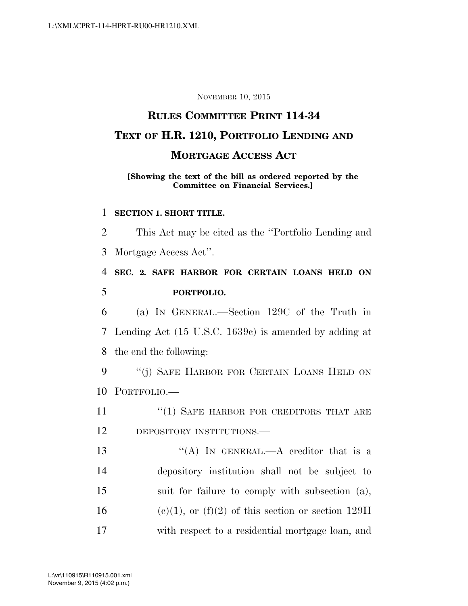#### NOVEMBER 10, 2015

# **RULES COMMITTEE PRINT 114-34 TEXT OF H.R. 1210, PORTFOLIO LENDING AND MORTGAGE ACCESS ACT**

#### **[Showing the text of the bill as ordered reported by the Committee on Financial Services.]**

#### 1 **SECTION 1. SHORT TITLE.**

2 This Act may be cited as the ''Portfolio Lending and 3 Mortgage Access Act''.

### 4 **SEC. 2. SAFE HARBOR FOR CERTAIN LOANS HELD ON**  5 **PORTFOLIO.**

6 (a) IN GENERAL.—Section 129C of the Truth in 7 Lending Act (15 U.S.C. 1639c) is amended by adding at 8 the end the following:

9 ''(j) SAFE HARBOR FOR CERTAIN LOANS HELD ON 10 PORTFOLIO.—

11 "(1) SAFE HARBOR FOR CREDITORS THAT ARE 12 DEPOSITORY INSTITUTIONS.—

 $((A)$  IN GENERAL.—A creditor that is a depository institution shall not be subject to suit for failure to comply with subsection (a), 16 (c)(1), or (f)(2) of this section or section 129H with respect to a residential mortgage loan, and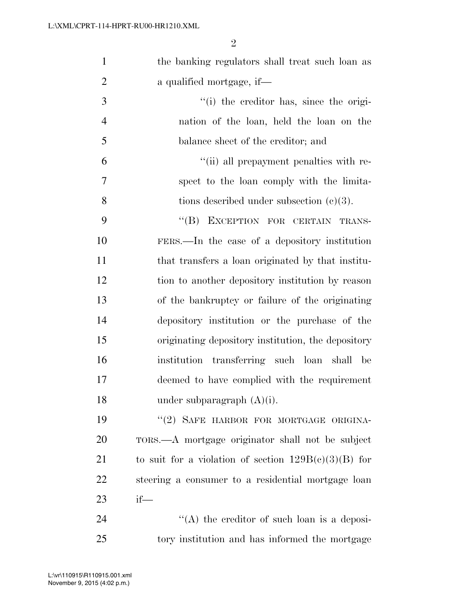| $\mathbf{1}$   | the banking regulators shall treat such loan as        |
|----------------|--------------------------------------------------------|
| $\overline{2}$ | a qualified mortgage, if—                              |
| 3              | "(i) the creditor has, since the origi-                |
| $\overline{4}$ | nation of the loan, held the loan on the               |
| 5              | balance sheet of the creditor; and                     |
| 6              | "(ii) all prepayment penalties with re-                |
| 7              | spect to the loan comply with the limita-              |
| 8              | tions described under subsection $(c)(3)$ .            |
| 9              | EXCEPTION FOR CERTAIN TRANS-<br>$\lq\lq (B)$           |
| 10             | FERS.—In the case of a depository institution          |
| 11             | that transfers a loan originated by that institu-      |
| 12             | tion to another depository institution by reason       |
| 13             | of the bankruptcy or failure of the originating        |
| 14             | depository institution or the purchase of the          |
| 15             | originating depository institution, the depository     |
| 16             | institution transferring such loan shall be            |
| 17             | deemed to have complied with the requirement           |
| 18             | under subparagraph $(A)(i)$ .                          |
| 19             | "(2) SAFE HARBOR FOR MORTGAGE ORIGINA-                 |
| 20             | TORS.—A mortgage originator shall not be subject       |
| 21             | to suit for a violation of section $129B(c)(3)(B)$ for |
| 22             | steering a consumer to a residential mortgage loan     |
| 23             | $if$ —                                                 |
| 24             | "(A) the creditor of such loan is a deposi-            |
| 25             | tory institution and has informed the mortgage         |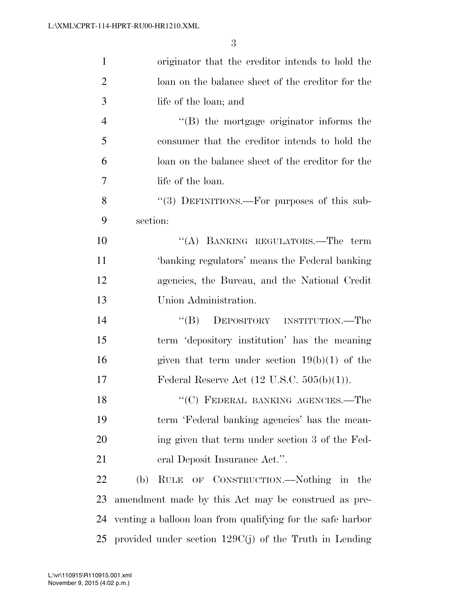| $\mathbf{1}$   | originator that the creditor intends to hold the           |
|----------------|------------------------------------------------------------|
| $\overline{2}$ | loan on the balance sheet of the creditor for the          |
| 3              | life of the loan; and                                      |
| $\overline{4}$ | $\lq\lq$ the mortgage originator informs the               |
| 5              | consumer that the creditor intends to hold the             |
| 6              | loan on the balance sheet of the creditor for the          |
| 7              | life of the loan.                                          |
| 8              | "(3) DEFINITIONS.—For purposes of this sub-                |
| 9              | section:                                                   |
| 10             | "(A) BANKING REGULATORS.—The term                          |
| 11             | 'banking regulators' means the Federal banking             |
| 12             | agencies, the Bureau, and the National Credit              |
| 13             | Union Administration.                                      |
| 14             | $\lq\lq (B)$<br>DEPOSITORY INSTITUTION.—The                |
| 15             | term 'depository institution' has the meaning              |
| 16             | given that term under section $19(b)(1)$ of the            |
| 17             | Federal Reserve Act $(12 \text{ U.S.C. } 505(b)(1)).$      |
| 18             | "(C) FEDERAL BANKING AGENCIES.—The                         |
| 19             | term 'Federal banking agencies' has the mean-              |
| 20             | ing given that term under section 3 of the Fed-            |
| 21             | eral Deposit Insurance Act.".                              |
| 22             | RULE OF CONSTRUCTION.—Nothing in the<br>(b)                |
| 23             | amendment made by this Act may be construed as pre-        |
| 24             | venting a balloon loan from qualifying for the safe harbor |
| 25             | provided under section $129C(j)$ of the Truth in Lending   |